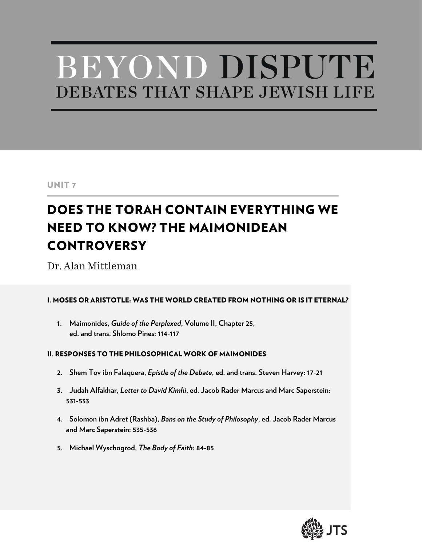# BEYOND DISPUTE DEBATES THAT SHAPE JEWISH LIFE

# UNIT 7

# DOES THE TORAH CONTAIN EVERYTHING WE NEED TO KNOW? THE MAIMONIDEAN **CONTROVERSY**

Dr. Alan Mittleman

#### I. MOSES OR ARISTOTLE: WAS THE WORLD CREATED FROM NOTHING OR IS IT ETERNAL?

**1. Maimonides,** *Guide of the Perplexed***, Volume II, Chapter 25, ed. and trans. Shlomo Pines: 114-117**

#### II. RESPONSES TO THE PHILOSOPHICAL WORK OF MAIMONIDES

- **2. Shem Tov ibn Falaquera,** *Epistle of the Debate***, ed. and trans. Steven Harvey: 17-21**
- **3. Judah Alfakhar,** *Letter to David Kimhi***, ed. Jacob Rader Marcus and Marc Saperstein: 531-533**
- **4. Solomon ibn Adret (Rashba),** *Bans on the Study of Philosophy***, ed. Jacob Rader Marcus and Marc Saperstein: 535-536**
- **5. Michael Wyschogrod,** *The Body of Faith***: 84-85**

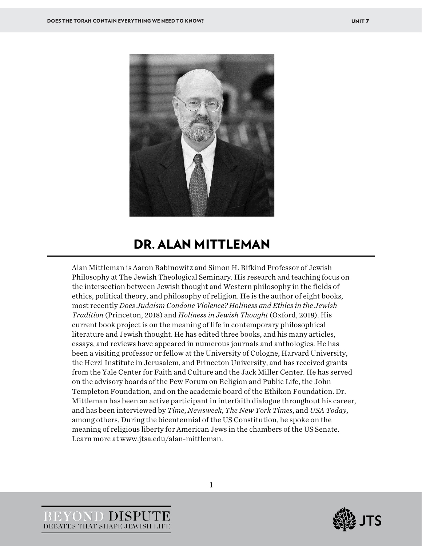

# DR. ALAN MITTLEMAN

Alan Mittleman is Aaron Rabinowitz and Simon H. Rifkind Professor of Jewish Philosophy at The Jewish Theological Seminary. His research and teaching focus on the intersection between Jewish thought and Western philosophy in the fields of ethics, political theory, and philosophy of religion. He is the author of eight books, most recently *Does Judaism Condone Violence? Holiness and Ethics in the Jewish Tradition* (Princeton, 2018) and *Holiness in Jewish Thought* (Oxford, 2018). His current book project is on the meaning of life in contemporary philosophical literature and Jewish thought. He has edited three books, and his many articles, essays, and reviews have appeared in numerous journals and anthologies. He has been a visiting professor or fellow at the University of Cologne, Harvard University, the Herzl Institute in Jerusalem, and Princeton University, and has received grants from the Yale Center for Faith and Culture and the Jack Miller Center. He has served on the advisory boards of the Pew Forum on Religion and Public Life, the John Templeton Foundation, and on the academic board of the Ethikon Foundation. Dr. Mittleman has been an active participant in interfaith dialogue throughout his career, and has been interviewed by *Time*, *Newsweek*, *The New York Times*, and *USA Today*, among others. During the bicentennial of the US Constitution, he spoke on the meaning of religious liberty for American Jews in the chambers of the US Senate. Learn more at www.jtsa.edu/alan-mittleman.



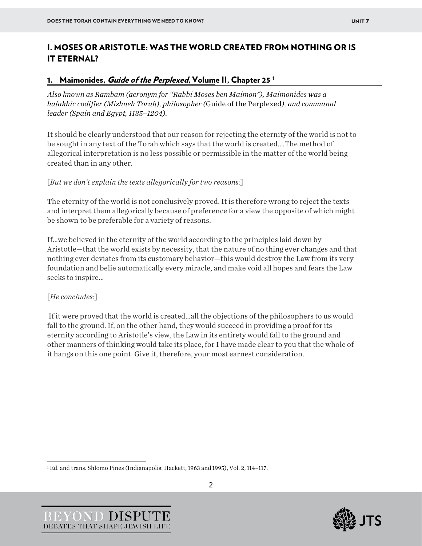# I. MOSES OR ARISTOTLE: WAS THE WORLD CREATED FROM NOTHING OR IS IT ETERNAL?

#### [1](#page-2-0). Maimonides, *Guide of the Perplexed*, Volume II, Chapter 25<sup>1</sup>

*Also known as Rambam (acronym for "Rabbi Moses ben Maimon"), Maimonides was a halakhic codifier (Mishneh Torah), philosopher (*Guide of the Perplexed*), and communal leader (Spain and Egypt, 1135–1204).*

It should be clearly understood that our reason for rejecting the eternity of the world is not to be sought in any text of the Torah which says that the world is created.…The method of allegorical interpretation is no less possible or permissible in the matter of the world being created than in any other.

#### [*But we don't explain the texts allegorically for two reasons:*]

The eternity of the world is not conclusively proved. It is therefore wrong to reject the texts and interpret them allegorically because of preference for a view the opposite of which might be shown to be preferable for a variety of reasons.

If…we believed in the eternity of the world according to the principles laid down by Aristotle—that the world exists by necessity, that the nature of no thing ever changes and that nothing ever deviates from its customary behavior—this would destroy the Law from its very foundation and belie automatically every miracle, and make void all hopes and fears the Law seeks to inspire…

#### [*He concludes:*]

If it were proved that the world is created…all the objections of the philosophers to us would fall to the ground. If, on the other hand, they would succeed in providing a proof for its eternity according to Aristotle's view, the Law in its entirety would fall to the ground and other manners of thinking would take its place, for I have made clear to you that the whole of it hangs on this one point. Give it, therefore, your most earnest consideration.



<span id="page-2-0"></span><sup>1</sup> Ed. and trans. Shlomo Pines (Indianapolis: Hackett, 1963 and 1995), Vol. 2, 114–117.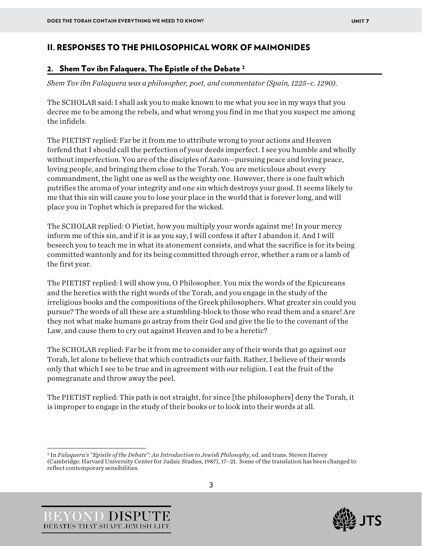### II. RESPONSES TO THE PHILOSOPHICAL WORK OF MAIMONIDES

#### [2](#page-3-0). Shem Tov ibn Falaquera, The Epistle of the Debate <sup>2</sup>

*Shem Tov ibn Falaquera was a philosopher, poet, and commentator (Spain, 1225–c. 1290).*

The SCHOLAR said: I shall ask you to make known to me what you see in my ways that you decree me to be among the rebels, and what wrong you find in me that you suspect me among the infidels.

The PIETIST replied: Far be it from me to attribute wrong to your actions and Heaven forfend that I should call the perfection of your deeds imperfect. I see you humble and wholly without imperfection. You are of the disciples of Aaron—pursuing peace and loving peace, loving people, and bringing them close to the Torah. You are meticulous about every commandment, the light one as well as the weighty one. However, there is one fault which putrifies the aroma of your integrity and one sin which destroys your good. It seems likely to me that this sin will cause you to lose your place in the world that is forever long, and will place you in Tophet which is prepared for the wicked.

The SCHOLAR replied: O Pietist, how you multiply your words against me! In your mercy inform me of this sin, and if it is as you say, I will confess it after I abandon it. And I will beseech you to teach me in what its atonement consists, and what the sacrifice is for its being committed wantonly and for its being committed through error, whether a ram or a lamb of the first year.

The PIETIST replied: I will show you, O Philosopher. You mix the words of the Epicureans and the heretics with the right words of the Torah, and you engage in the study of the irreligious books and the compositions of the Greek philosophers. What greater sin could you pursue? The words of all these are a stumbling-block to those who read them and a snare! Are they not what make humans go astray from their God and give the lie to the covenant of the Law, and cause them to cry out against Heaven and to be a heretic?

The SCHOLAR replied: Far be it from me to consider any of their words that go against our Torah, let alone to believe that which contradicts our faith. Rather, I believe of their words only that which I see to be true and in agreement with our religion. I eat the fruit of the pomegranate and throw away the peel.

The PIETIST replied: This path is not straight, for since [the philosophers] deny the Torah, it is improper to engage in the study of their books or to look into their words at all.





<span id="page-3-0"></span><sup>2</sup> In *Falaquera's "Epistle of the Debate": An Introduction to Jewish Philosophy*, ed. and trans. Steven Harvey (Cambridge: Harvard University Center for Judaic Studies, 1987), 17–21. Some of the translation has been changed to reflect contemporary sensibilities.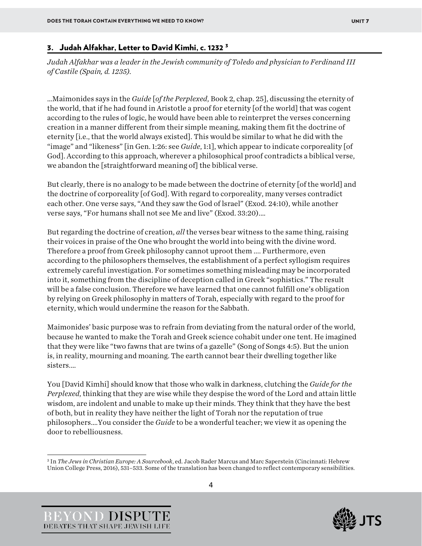#### 3. Judah Alfakhar, Letter to David Kimhi, c. 1232 [3](#page-4-0)

*Judah Alfakhar was a leader in the Jewish community of Toledo and physician to Ferdinand III of Castile (Spain, d. 1235).*

…Maimonides says in the *Guide* [*of the Perplexed*, Book 2, chap. 25], discussing the eternity of the world, that if he had found in Aristotle a proof for eternity [of the world] that was cogent according to the rules of logic, he would have been able to reinterpret the verses concerning creation in a manner different from their simple meaning, making them fit the doctrine of eternity [i.e., that the world always existed]. This would be similar to what he did with the "image" and "likeness" [in Gen. 1:26: see *Guide*, 1:1], which appear to indicate corporeality [of God]. According to this approach, wherever a philosophical proof contradicts a biblical verse, we abandon the [straightforward meaning of] the biblical verse.

But clearly, there is no analogy to be made between the doctrine of eternity [of the world] and the doctrine of corporeality [of God]. With regard to corporeality, many verses contradict each other. One verse says, "And they saw the God of lsrael" (Exod. 24:10), while another verse says, "For humans shall not see Me and live" (Exod. 33:20).…

But regarding the doctrine of creation, *all* the verses bear witness to the same thing, raising their voices in praise of the One who brought the world into being with the divine word. Therefore a proof from Greek philosophy cannot uproot them .... Furthermore, even according to the philosophers themselves, the establishment of a perfect syllogism requires extremely careful investigation. For sometimes something misleading may be incorporated into it, something from the discipline of deception called in Greek "sophistics." The result will be a false conclusion. Therefore we have learned that one cannot fulfill one's obligation by relying on Greek philosophy in matters of Torah, especially with regard to the proof for eternity, which would undermine the reason for the Sabbath.

Maimonides' basic purpose was to refrain from deviating from the natural order of the world, because he wanted to make the Torah and Greek science cohabit under one tent. He imagined that they were like "two fawns that are twins of a gazelle" (Song of Songs 4:5). But the union is, in reality, mourning and moaning. The earth cannot bear their dwelling together like sisters.…

You [David Kimhi] should know that those who walk in darkness, clutching the *Guide for the Perplexed*, thinking that they are wise while they despise the word of the Lord and attain little wisdom, are indolent and unable to make up their minds. They think that they have the best of both, but in reality they have neither the light of Torah nor the reputation of true philosophers.…You consider the *Guide* to be a wonderful teacher; we view it as opening the door to rebelliousness.





<span id="page-4-0"></span><sup>3</sup> In *The Jews in Christian Europe: A Sourcebook*, ed. Jacob Rader Marcus and Marc Saperstein (Cincinnati: Hebrew Union College Press, 2016), 531–533. Some of the translation has been changed to reflect contemporary sensibilities.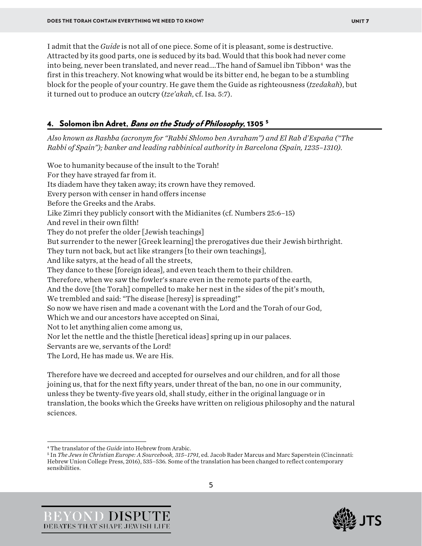I admit that the *Guide* is not all of one piece. Some of it is pleasant, some is destructive. Attracted by its good parts, one is seduced by its bad. Would that this book had never come into being, never been translated, and never read....The hand of Samuel ibn Tibbon<sup>4</sup> was the first in this treachery. Not knowing what would be its bitter end, he began to be a stumbling block for the people of your country. He gave them the Guide as righteousness (*tzedakah*), but it turned out to produce an outcry (*tze'akah*, cf. Isa. 5:7).

#### 4. Solomon ibn Adret, Bans on the Study of Philosophy, 130[5](#page-5-1)<sup>5</sup>

*Also known as Rashba (acronym for "Rabbi Shlomo ben Avraham") and El Rab d'España ("The Rabbi of Spain"); banker and leading rabbinical authority in Barcelona (Spain, 1235–1310).*

Woe to humanity because of the insult to the Torah! For they have strayed far from it. Its diadem have they taken away; its crown have they removed. Every person with censer in hand offers incense Before the Greeks and the Arabs. Like Zimri they publicly consort with the Midianites (cf. Numbers 25:6–15) And revel in their own filth! They do not prefer the older [Jewish teachings] But surrender to the newer [Greek learning] the prerogatives due their Jewish birthright. They turn not back, but act like strangers [to their own teachings], And like satyrs, at the head of all the streets, They dance to these [foreign ideas], and even teach them to their children. Therefore, when we saw the fowler's snare even in the remote parts of the earth, And the dove [the Torah] compelled to make her nest in the sides of the pit's mouth, We trembled and said: "The disease [heresy] is spreading!" So now we have risen and made a covenant with the Lord and the Torah of our God, Which we and our ancestors have accepted on Sinai, Not to let anything alien come among us, Nor let the nettle and the thistle [heretical ideas] spring up in our palaces. Servants are we, servants of the Lord! The Lord, He has made us. We are His.

Therefore have we decreed and accepted for ourselves and our children, and for all those joining us, that for the next fifty years, under threat of the ban, no one in our community, unless they be twenty-five years old, shall study, either in the original language or in translation, the books which the Greeks have written on religious philosophy and the natural sciences.





<span id="page-5-0"></span><sup>4</sup> The translator of the *Guide* into Hebrew from Arabic.

<span id="page-5-1"></span><sup>5</sup> In *The Jews in Christian Europe: A Sourcebook, 315–1791*, ed. Jacob Rader Marcus and Marc Saperstein (Cincinnati: Hebrew Union College Press, 2016), 535*–*536*.* Some of the translation has been changed to reflect contemporary sensibilities.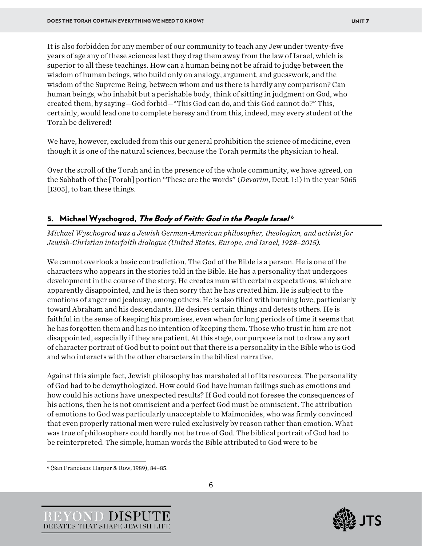It is also forbidden for any member of our community to teach any Jew under twenty-five years of age any of these sciences lest they drag them away from the law of Israel, which is superior to all these teachings. How can a human being not be afraid to judge between the wisdom of human beings, who build only on analogy, argument, and guesswork, and the wisdom of the Supreme Being, between whom and us there is hardly any comparison? Can human beings, who inhabit but a perishable body, think of sitting in judgment on God, who created them, by saying—God forbid—"This God can do, and this God cannot do?" This, certainly, would lead one to complete heresy and from this, indeed, may every student of the Torah be delivered!

We have, however, excluded from this our general prohibition the science of medicine, even though it is one of the natural sciences, because the Torah permits the physician to heal.

Over the scroll of the Torah and in the presence of the whole community, we have agreed, on the Sabbath of the [Torah] portion "These are the words" (*Devarim*, Deut. 1:1) in the year 5065 [1305], to ban these things.

#### 5. Michael Wyschogrod, The Body of Faith: God in the People Israel<sup>[6](#page-6-0)</sup>

*Michael Wyschogrod was a Jewish German-American philosopher, theologian, and activist for Jewish-Christian interfaith dialogue (United States, Europe, and Israel, 1928–2015).*

We cannot overlook a basic contradiction. The God of the Bible is a person. He is one of the characters who appears in the stories told in the Bible. He has a personality that undergoes development in the course of the story. He creates man with certain expectations, which are apparently disappointed, and he is then sorry that he has created him. He is subject to the emotions of anger and jealousy, among others. He is also filled with burning love, particularly toward Abraham and his descendants. He desires certain things and detests others. He is faithful in the sense of keeping his promises, even when for long periods of time it seems that he has forgotten them and has no intention of keeping them. Those who trust in him are not disappointed, especially if they are patient. At this stage, our purpose is not to draw any sort of character portrait of God but to point out that there is a personality in the Bible who is God and who interacts with the other characters in the biblical narrative.

Against this simple fact, Jewish philosophy has marshaled all of its resources. The personality of God had to be demythologized. How could God have human failings such as emotions and how could his actions have unexpected results? If God could not foresee the consequences of his actions, then he is not omniscient and a perfect God must be omniscient. The attribution of emotions to God was particularly unacceptable to Maimonides, who was firmly convinced that even properly rational men were ruled exclusively by reason rather than emotion. What was true of philosophers could hardly not be true of God. The biblical portrait of God had to be reinterpreted. The simple, human words the Bible attributed to God were to be





<span id="page-6-0"></span><sup>6</sup> (San Francisco: Harper & Row, 1989), 84–85.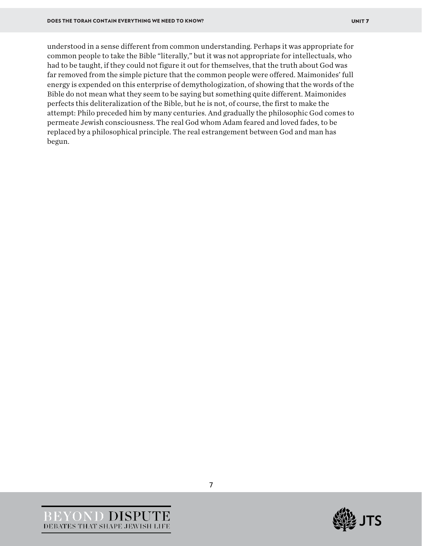understood in a sense different from common understanding. Perhaps it was appropriate for common people to take the Bible "literally," but it was not appropriate for intellectuals, who had to be taught, if they could not figure it out for themselves, that the truth about God was far removed from the simple picture that the common people were offered. Maimonides' full energy is expended on this enterprise of demythologization, of showing that the words of the Bible do not mean what they seem to be saying but something quite different. Maimonides perfects this deliteralization of the Bible, but he is not, of course, the first to make the attempt: Philo preceded him by many centuries. And gradually the philosophic God comes to permeate Jewish consciousness. The real God whom Adam feared and loved fades, to be replaced by a philosophical principle. The real estrangement between God and man has begun.